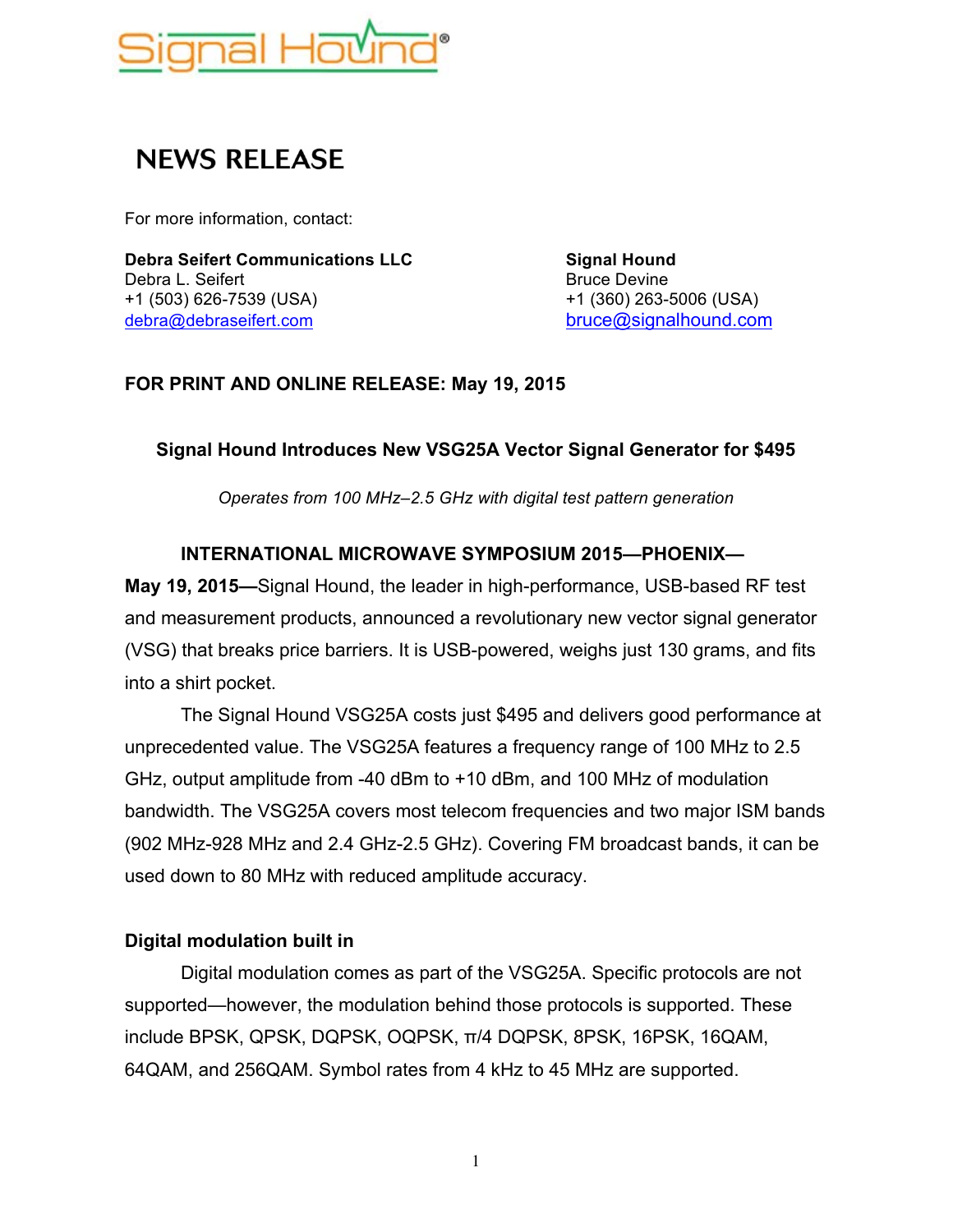

# **NEWS RELEASE**

For more information, contact:

**Debra Seifert Communications LLC Signal Hound** Debra L. Seifert **Bruce Devine** Bruce Devine +1 (503) 626-7539 (USA) +1 (360) 263-5006 (USA) debra@debraseifert.com bruce@signalhound.com

### **FOR PRINT AND ONLINE RELEASE: May 19, 2015**

#### **Signal Hound Introduces New VSG25A Vector Signal Generator for \$495**

*Operates from 100 MHz–2.5 GHz with digital test pattern generation*

### **INTERNATIONAL MICROWAVE SYMPOSIUM 2015—PHOENIX—**

**May 19, 2015—**Signal Hound, the leader in high-performance, USB-based RF test and measurement products, announced a revolutionary new vector signal generator (VSG) that breaks price barriers. It is USB-powered, weighs just 130 grams, and fits into a shirt pocket.

The Signal Hound VSG25A costs just \$495 and delivers good performance at unprecedented value. The VSG25A features a frequency range of 100 MHz to 2.5 GHz, output amplitude from -40 dBm to +10 dBm, and 100 MHz of modulation bandwidth. The VSG25A covers most telecom frequencies and two major ISM bands (902 MHz-928 MHz and 2.4 GHz-2.5 GHz). Covering FM broadcast bands, it can be used down to 80 MHz with reduced amplitude accuracy.

#### **Digital modulation built in**

Digital modulation comes as part of the VSG25A. Specific protocols are not supported—however, the modulation behind those protocols is supported. These include BPSK, QPSK, DQPSK, OQPSK, π/4 DQPSK, 8PSK, 16PSK, 16QAM, 64QAM, and 256QAM. Symbol rates from 4 kHz to 45 MHz are supported.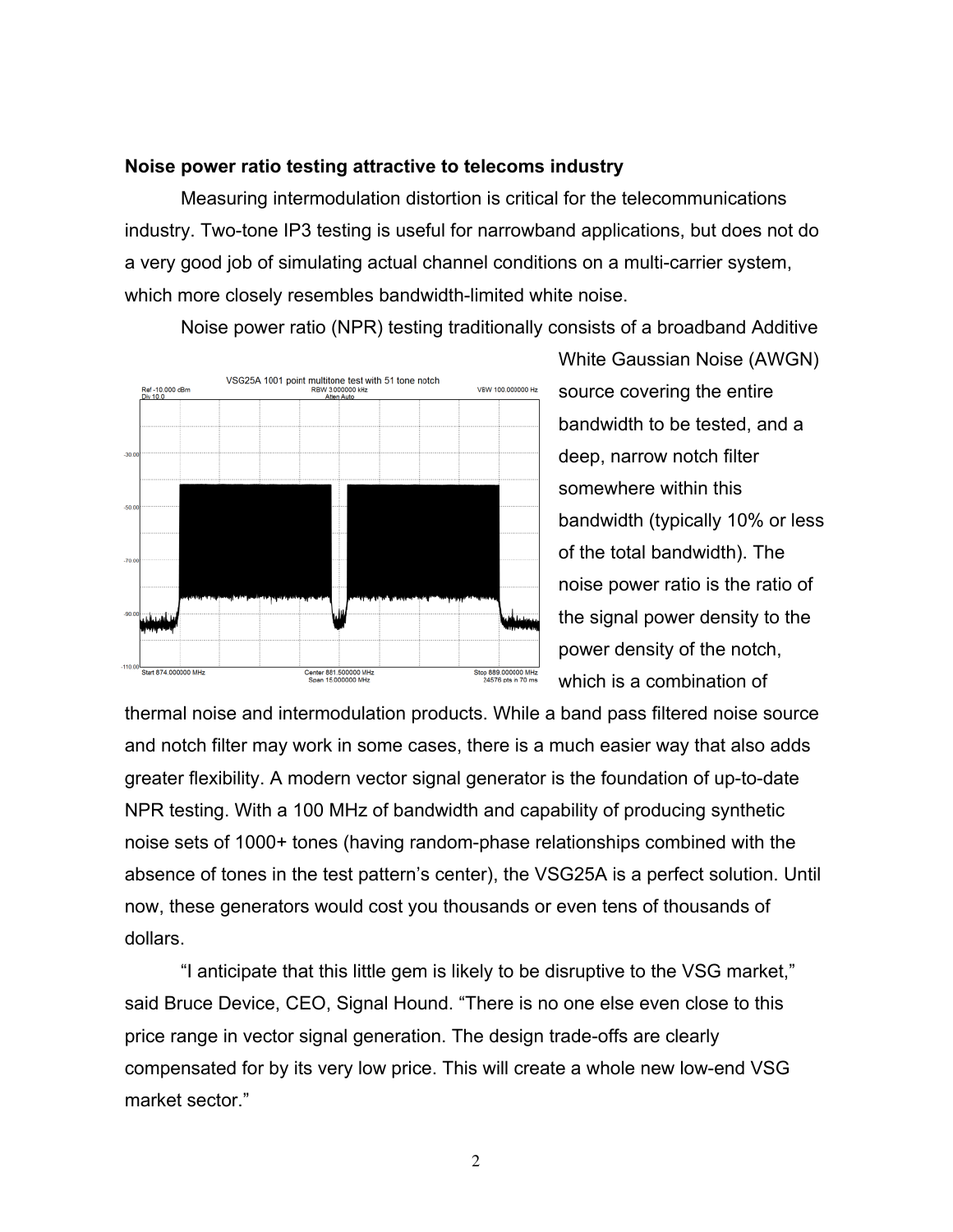#### **Noise power ratio testing attractive to telecoms industry**

Measuring intermodulation distortion is critical for the telecommunications industry. Two-tone IP3 testing is useful for narrowband applications, but does not do a very good job of simulating actual channel conditions on a multi-carrier system, which more closely resembles bandwidth-limited white noise.

Noise power ratio (NPR) testing traditionally consists of a broadband Additive



White Gaussian Noise (AWGN) source covering the entire bandwidth to be tested, and a deep, narrow notch filter somewhere within this bandwidth (typically 10% or less of the total bandwidth). The noise power ratio is the ratio of the signal power density to the power density of the notch, which is a combination of

thermal noise and intermodulation products. While a band pass filtered noise source and notch filter may work in some cases, there is a much easier way that also adds greater flexibility. A modern vector signal generator is the foundation of up-to-date NPR testing. With a 100 MHz of bandwidth and capability of producing synthetic noise sets of 1000+ tones (having random-phase relationships combined with the absence of tones in the test pattern's center), the VSG25A is a perfect solution. Until now, these generators would cost you thousands or even tens of thousands of dollars.

"I anticipate that this little gem is likely to be disruptive to the VSG market," said Bruce Device, CEO, Signal Hound. "There is no one else even close to this price range in vector signal generation. The design trade-offs are clearly compensated for by its very low price. This will create a whole new low-end VSG market sector."

2